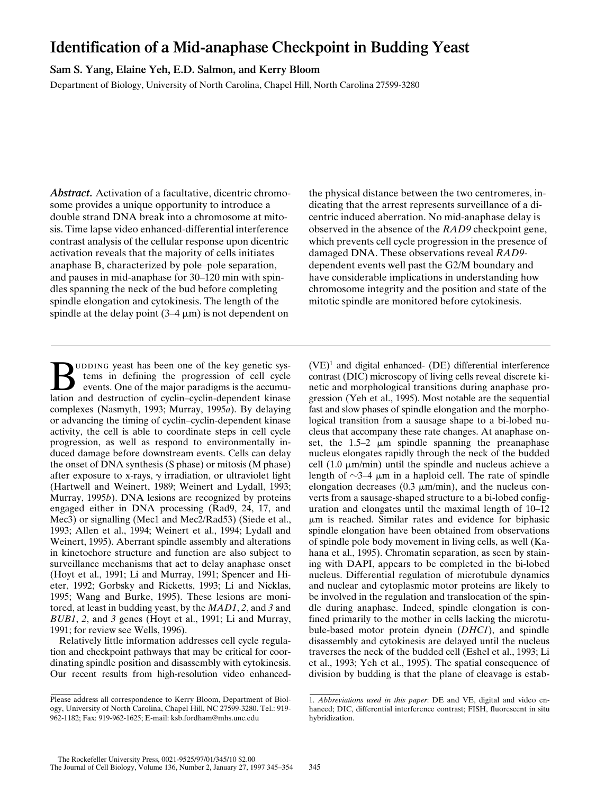# **Identification of a Mid-anaphase Checkpoint in Budding Yeast**

**Sam S. Yang, Elaine Yeh, E.D. Salmon, and Kerry Bloom**

Department of Biology, University of North Carolina, Chapel Hill, North Carolina 27599-3280

*Abstract.* Activation of a facultative, dicentric chromosome provides a unique opportunity to introduce a double strand DNA break into a chromosome at mitosis. Time lapse video enhanced-differential interference contrast analysis of the cellular response upon dicentric activation reveals that the majority of cells initiates anaphase B, characterized by pole–pole separation, and pauses in mid-anaphase for 30–120 min with spindles spanning the neck of the bud before completing spindle elongation and cytokinesis. The length of the spindle at the delay point  $(3-4 \mu m)$  is not dependent on

UDDING yeast has been one of the key genetic systems in defining the progression of cell cycle events. One of the major paradigms is the accumulation and destruction of cyclin–cyclin-dependent kinase complexes (Nasmyth, 1993; Murray, 1995*a*). By delaying or advancing the timing of cyclin–cyclin-dependent kinase activity, the cell is able to coordinate steps in cell cycle progression, as well as respond to environmentally induced damage before downstream events. Cells can delay the onset of DNA synthesis (S phase) or mitosis (M phase) after exposure to x-rays,  $\gamma$  irradiation, or ultraviolet light (Hartwell and Weinert, 1989; Weinert and Lydall, 1993; Murray, 1995*b*). DNA lesions are recognized by proteins engaged either in DNA processing (Rad9, 24, 17, and Mec3) or signalling (Mec1 and Mec2/Rad53) (Siede et al., 1993; Allen et al., 1994; Weinert et al., 1994; Lydall and Weinert, 1995). Aberrant spindle assembly and alterations in kinetochore structure and function are also subject to surveillance mechanisms that act to delay anaphase onset (Hoyt et al., 1991; Li and Murray, 1991; Spencer and Hieter, 1992; Gorbsky and Ricketts, 1993; Li and Nicklas, 1995; Wang and Burke, 1995). These lesions are monitored, at least in budding yeast, by the *MAD1*, *2*, and *3* and *BUB1*, *2*, and *3* genes (Hoyt et al., 1991; Li and Murray, 1991; for review see Wells, 1996).

Relatively little information addresses cell cycle regulation and checkpoint pathways that may be critical for coordinating spindle position and disassembly with cytokinesis. Our recent results from high-resolution video enhancedthe physical distance between the two centromeres, indicating that the arrest represents surveillance of a dicentric induced aberration. No mid-anaphase delay is observed in the absence of the *RAD9* checkpoint gene, which prevents cell cycle progression in the presence of damaged DNA. These observations reveal *RAD9* dependent events well past the G2/M boundary and have considerable implications in understanding how chromosome integrity and the position and state of the mitotic spindle are monitored before cytokinesis.

 $(VE)^1$  and digital enhanced-  $(DE)$  differential interference contrast (DIC) microscopy of living cells reveal discrete kinetic and morphological transitions during anaphase progression (Yeh et al., 1995). Most notable are the sequential fast and slow phases of spindle elongation and the morphological transition from a sausage shape to a bi-lobed nucleus that accompany these rate changes. At anaphase onset, the  $1.5-2 \mu m$  spindle spanning the preanaphase nucleus elongates rapidly through the neck of the budded cell  $(1.0 \mu m/min)$  until the spindle and nucleus achieve a length of  $\sim$ 3–4  $\mu$ m in a haploid cell. The rate of spindle elongation decreases  $(0.3 \mu m/min)$ , and the nucleus converts from a sausage-shaped structure to a bi-lobed configuration and elongates until the maximal length of 10–12  $\mu$ m is reached. Similar rates and evidence for biphasic spindle elongation have been obtained from observations of spindle pole body movement in living cells, as well (Kahana et al., 1995). Chromatin separation, as seen by staining with DAPI, appears to be completed in the bi-lobed nucleus. Differential regulation of microtubule dynamics and nuclear and cytoplasmic motor proteins are likely to be involved in the regulation and translocation of the spindle during anaphase. Indeed, spindle elongation is confined primarily to the mother in cells lacking the microtubule-based motor protein dynein (*DHC1*), and spindle disassembly and cytokinesis are delayed until the nucleus traverses the neck of the budded cell (Eshel et al., 1993; Li et al., 1993; Yeh et al., 1995). The spatial consequence of division by budding is that the plane of cleavage is estab-

Please address all correspondence to Kerry Bloom, Department of Biology, University of North Carolina, Chapel Hill, NC 27599-3280. Tel.: 919- 962-1182; Fax: 919-962-1625; E-mail: ksb.fordham@mhs.unc.edu

<sup>1.</sup> *Abbreviations used in this paper*: DE and VE, digital and video enhanced; DIC, differential interference contrast; FISH, fluorescent in situ hybridization.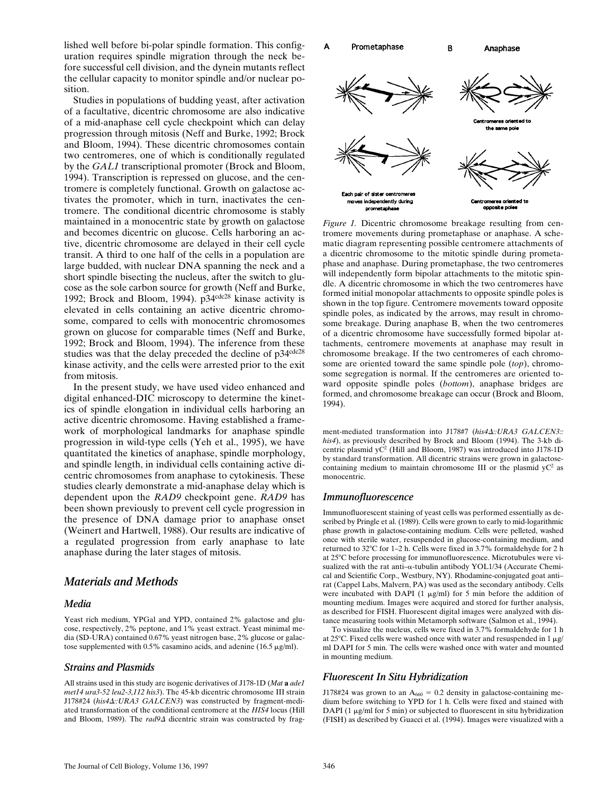lished well before bi-polar spindle formation. This configuration requires spindle migration through the neck before successful cell division, and the dynein mutants reflect the cellular capacity to monitor spindle and/or nuclear position.

Studies in populations of budding yeast, after activation of a facultative, dicentric chromosome are also indicative of a mid-anaphase cell cycle checkpoint which can delay progression through mitosis (Neff and Burke, 1992; Brock and Bloom, 1994). These dicentric chromosomes contain two centromeres, one of which is conditionally regulated by the *GAL1* transcriptional promoter (Brock and Bloom, 1994). Transcription is repressed on glucose, and the centromere is completely functional. Growth on galactose activates the promoter, which in turn, inactivates the centromere. The conditional dicentric chromosome is stably maintained in a monocentric state by growth on galactose and becomes dicentric on glucose. Cells harboring an active, dicentric chromosome are delayed in their cell cycle transit. A third to one half of the cells in a population are large budded, with nuclear DNA spanning the neck and a short spindle bisecting the nucleus, after the switch to glucose as the sole carbon source for growth (Neff and Burke, 1992; Brock and Bloom, 1994). p34<sup>cdc28</sup> kinase activity is elevated in cells containing an active dicentric chromosome, compared to cells with monocentric chromosomes grown on glucose for comparable times (Neff and Burke, 1992; Brock and Bloom, 1994). The inference from these studies was that the delay preceded the decline of p34<sup>cdc28</sup> kinase activity, and the cells were arrested prior to the exit from mitosis.

In the present study, we have used video enhanced and digital enhanced-DIC microscopy to determine the kinetics of spindle elongation in individual cells harboring an active dicentric chromosome. Having established a framework of morphological landmarks for anaphase spindle progression in wild-type cells (Yeh et al., 1995), we have quantitated the kinetics of anaphase, spindle morphology, and spindle length, in individual cells containing active dicentric chromosomes from anaphase to cytokinesis. These studies clearly demonstrate a mid-anaphase delay which is dependent upon the *RAD9* checkpoint gene. *RAD9* has been shown previously to prevent cell cycle progression in the presence of DNA damage prior to anaphase onset (Weinert and Hartwell, 1988). Our results are indicative of a regulated progression from early anaphase to late anaphase during the later stages of mitosis.

# *Materials and Methods*

#### *Media*

Yeast rich medium, YPGal and YPD, contained 2% galactose and glucose, respectively, 2% peptone, and 1% yeast extract. Yeast minimal media (SD-URA) contained 0.67% yeast nitrogen base, 2% glucose or galactose supplemented with 0.5% casamino acids, and adenine (16.5  $\mu$ g/ml).

## *Strains and Plasmids*

All strains used in this study are isogenic derivatives of J178-1D (*Mat* **a** *ade1 met14 ura3-52 leu2-3,112 his3*). The 45-kb dicentric chromosome III strain J178#24 (his4 $\Delta$ ::URA3 GALCEN3) was constructed by fragment-mediated transformation of the conditional centromere at the *HIS4* locus (Hill and Bloom, 1989). The *rad9*<sup> $\Delta$ </sup> dicentric strain was constructed by frag-



*Figure 1.* Dicentric chromosome breakage resulting from centromere movements during prometaphase or anaphase. A schematic diagram representing possible centromere attachments of a dicentric chromosome to the mitotic spindle during prometaphase and anaphase. During prometaphase, the two centromeres will independently form bipolar attachments to the mitotic spindle. A dicentric chromosome in which the two centromeres have formed initial monopolar attachments to opposite spindle poles is shown in the top figure. Centromere movements toward opposite spindle poles, as indicated by the arrows, may result in chromosome breakage. During anaphase B, when the two centromeres of a dicentric chromosome have successfully formed bipolar attachments, centromere movements at anaphase may result in chromosome breakage. If the two centromeres of each chromosome are oriented toward the same spindle pole (*top*), chromosome segregation is normal. If the centromeres are oriented toward opposite spindle poles (*bottom*), anaphase bridges are formed, and chromosome breakage can occur (Brock and Bloom, 1994).

ment-mediated transformation into J178#7 (his4 $\Delta$ ::URA3 GALCEN3:: *his4*), as previously described by Brock and Bloom (1994). The 3-kb dicentric plasmid yC<sup>2</sup> (Hill and Bloom, 1987) was introduced into J178-1D by standard transformation. All dicentric strains were grown in galactosecontaining medium to maintain chromosome III or the plasmid  $yC^2$  as monocentric.

# *Immunofluorescence*

Immunofluorescent staining of yeast cells was performed essentially as described by Pringle et al. (1989). Cells were grown to early to mid-logarithmic phase growth in galactose-containing medium. Cells were pelleted, washed once with sterile water, resuspended in glucose-containing medium, and returned to 32°C for 1-2 h. Cells were fixed in 3.7% formaldehyde for 2 h at 25°C before processing for immunofluorescence. Microtubules were visualized with the rat anti- $\alpha$ -tubulin antibody YOL1/34 (Accurate Chemical and Scientific Corp., Westbury, NY). Rhodamine-conjugated goat anti– rat (Cappel Labs, Malvern, PA) was used as the secondary antibody. Cells were incubated with DAPI (1  $\mu$ g/ml) for 5 min before the addition of mounting medium. Images were acquired and stored for further analysis, as described for FISH. Fluorescent digital images were analyzed with distance measuring tools within Metamorph software (Salmon et al., 1994).

To visualize the nucleus, cells were fixed in 3.7% formaldehyde for 1 h at 25 $^{\circ}$ C. Fixed cells were washed once with water and resuspended in 1  $\mu$ g/ ml DAPI for 5 min. The cells were washed once with water and mounted in mounting medium.

## *Fluorescent In Situ Hybridization*

J178#24 was grown to an  $A_{660} = 0.2$  density in galactose-containing medium before switching to YPD for 1 h. Cells were fixed and stained with DAPI (1  $\mu$ g/ml for 5 min) or subjected to fluorescent in situ hybridization (FISH) as described by Guacci et al. (1994). Images were visualized with a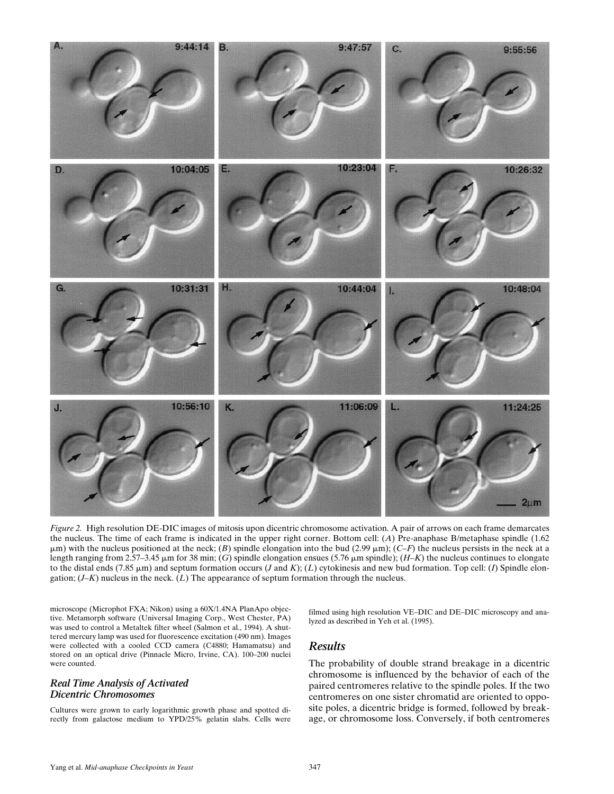

*Figure 2.* High resolution DE-DIC images of mitosis upon dicentric chromosome activation. A pair of arrows on each frame demarcates the nucleus. The time of each frame is indicated in the upper right corner. Bottom cell: (*A*) Pre-anaphase B/metaphase spindle (1.62  $\mu$ m) with the nucleus positioned at the neck; (B) spindle elongation into the bud (2.99  $\mu$ m); (*C–F*) the nucleus persists in the neck at a length ranging from 2.57–3.45  $\mu$ m for 38 min; (*G*) spindle elongation ensues (5.76  $\mu$ m spindle); (*H–K*) the nucleus continues to elongate to the distal ends (7.85  $\mu$ m) and septum formation occurs (*J* and *K*); (*L*) cytokinesis and new bud formation. Top cell: (*I*) Spindle elongation; (*J–K*) nucleus in the neck. (*L*) The appearance of septum formation through the nucleus.

microscope (Microphot FXA; Nikon) using a 60X/1.4NA PlanApo objective. Metamorph software (Universal Imaging Corp., West Chester, PA) was used to control a Metaltek filter wheel (Salmon et al., 1994). A shuttered mercury lamp was used for fluorescence excitation (490 nm). Images were collected with a cooled CCD camera (C4880; Hamamatsu) and stored on an optical drive (Pinnacle Micro, Irvine, CA). 100–200 nuclei were counted.

## *Real Time Analysis of Activated Dicentric Chromosomes*

Cultures were grown to early logarithmic growth phase and spotted directly from galactose medium to YPD/25% gelatin slabs. Cells were

filmed using high resolution VE–DIC and DE–DIC microscopy and analyzed as described in Yeh et al. (1995).

## *Results*

The probability of double strand breakage in a dicentric chromosome is influenced by the behavior of each of the paired centromeres relative to the spindle poles. If the two centromeres on one sister chromatid are oriented to opposite poles, a dicentric bridge is formed, followed by breakage, or chromosome loss. Conversely, if both centromeres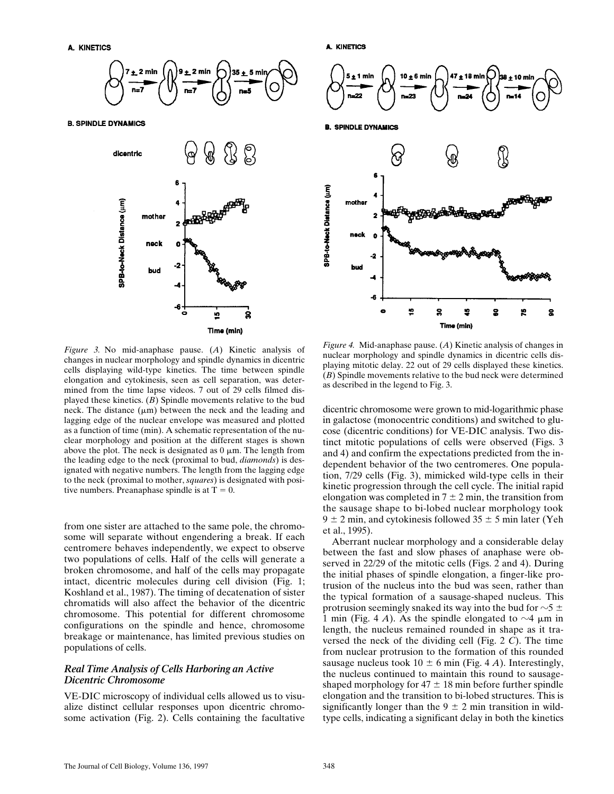

**B. SPINDLE DYNAMICS** 



**A. KINETICS** 



*Figure 3.* No mid-anaphase pause. (*A*) Kinetic analysis of changes in nuclear morphology and spindle dynamics in dicentric cells displaying wild-type kinetics. The time between spindle elongation and cytokinesis, seen as cell separation, was determined from the time lapse videos. 7 out of 29 cells filmed displayed these kinetics. (*B*) Spindle movements relative to the bud neck. The distance  $(\mu m)$  between the neck and the leading and lagging edge of the nuclear envelope was measured and plotted as a function of time (min). A schematic representation of the nuclear morphology and position at the different stages is shown above the plot. The neck is designated as  $0 \mu$ m. The length from the leading edge to the neck (proximal to bud, *diamonds*) is designated with negative numbers. The length from the lagging edge to the neck (proximal to mother, *squares*) is designated with positive numbers. Preanaphase spindle is at  $T = 0$ .

from one sister are attached to the same pole, the chromosome will separate without engendering a break. If each centromere behaves independently, we expect to observe two populations of cells. Half of the cells will generate a broken chromosome, and half of the cells may propagate intact, dicentric molecules during cell division (Fig. 1; Koshland et al., 1987). The timing of decatenation of sister chromatids will also affect the behavior of the dicentric chromosome. This potential for different chromosome configurations on the spindle and hence, chromosome breakage or maintenance, has limited previous studies on populations of cells.

## *Real Time Analysis of Cells Harboring an Active Dicentric Chromosome*

VE-DIC microscopy of individual cells allowed us to visualize distinct cellular responses upon dicentric chromosome activation (Fig. 2). Cells containing the facultative

*Figure 4.* Mid-anaphase pause. (*A*) Kinetic analysis of changes in nuclear morphology and spindle dynamics in dicentric cells displaying mitotic delay. 22 out of 29 cells displayed these kinetics. (*B*) Spindle movements relative to the bud neck were determined as described in the legend to Fig. 3.

dicentric chromosome were grown to mid-logarithmic phase in galactose (monocentric conditions) and switched to glucose (dicentric conditions) for VE-DIC analysis. Two distinct mitotic populations of cells were observed (Figs. 3 and 4) and confirm the expectations predicted from the independent behavior of the two centromeres. One population, 7/29 cells (Fig. 3), mimicked wild-type cells in their kinetic progression through the cell cycle. The initial rapid elongation was completed in  $7 \pm 2$  min, the transition from the sausage shape to bi-lobed nuclear morphology took  $9 \pm 2$  min, and cytokinesis followed  $35 \pm 5$  min later (Yeh et al., 1995).

Aberrant nuclear morphology and a considerable delay between the fast and slow phases of anaphase were observed in 22/29 of the mitotic cells (Figs. 2 and 4). During the initial phases of spindle elongation, a finger-like protrusion of the nucleus into the bud was seen, rather than the typical formation of a sausage-shaped nucleus. This protrusion seemingly snaked its way into the bud for  $\sim$  5  $\pm$ 1 min (Fig. 4 *A*). As the spindle elongated to  $\sim$ 4  $\mu$ m in length, the nucleus remained rounded in shape as it traversed the neck of the dividing cell (Fig. 2 *C*). The time from nuclear protrusion to the formation of this rounded sausage nucleus took  $10 \pm 6$  min (Fig. 4 *A*). Interestingly, the nucleus continued to maintain this round to sausageshaped morphology for  $47 \pm 18$  min before further spindle elongation and the transition to bi-lobed structures. This is significantly longer than the  $9 \pm 2$  min transition in wildtype cells, indicating a significant delay in both the kinetics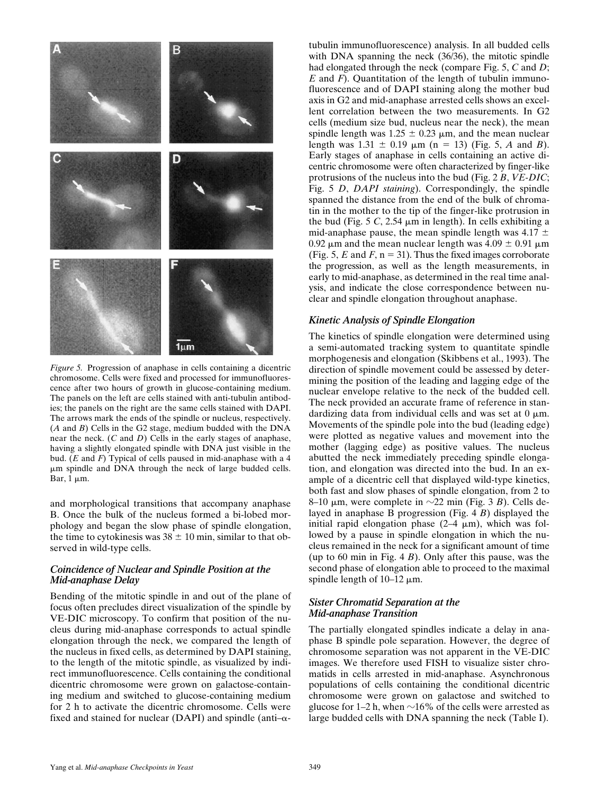

*Figure 5.* Progression of anaphase in cells containing a dicentric chromosome. Cells were fixed and processed for immunofluorescence after two hours of growth in glucose-containing medium. The panels on the left are cells stained with anti-tubulin antibodies; the panels on the right are the same cells stained with DAPI. The arrows mark the ends of the spindle or nucleus, respectively. (*A* and *B*) Cells in the G2 stage, medium budded with the DNA near the neck. (*C* and *D*) Cells in the early stages of anaphase, having a slightly elongated spindle with DNA just visible in the bud. (*E* and *F*) Typical of cells paused in mid-anaphase with a 4 mm spindle and DNA through the neck of large budded cells. Bar,  $1 \mu m$ .

and morphological transitions that accompany anaphase B. Once the bulk of the nucleus formed a bi-lobed morphology and began the slow phase of spindle elongation, the time to cytokinesis was  $38 \pm 10$  min, similar to that observed in wild-type cells.

## *Coincidence of Nuclear and Spindle Position at the Mid-anaphase Delay*

Bending of the mitotic spindle in and out of the plane of focus often precludes direct visualization of the spindle by VE-DIC microscopy. To confirm that position of the nucleus during mid-anaphase corresponds to actual spindle elongation through the neck, we compared the length of the nucleus in fixed cells, as determined by DAPI staining, to the length of the mitotic spindle, as visualized by indirect immunofluorescence. Cells containing the conditional dicentric chromosome were grown on galactose-containing medium and switched to glucose-containing medium for 2 h to activate the dicentric chromosome. Cells were fixed and stained for nuclear (DAPI) and spindle (anti- $\alpha$ -

tubulin immunofluorescence) analysis. In all budded cells with DNA spanning the neck (36/36), the mitotic spindle had elongated through the neck (compare Fig. 5, *C* and *D*; *E* and *F*). Quantitation of the length of tubulin immunofluorescence and of DAPI staining along the mother bud axis in G2 and mid-anaphase arrested cells shows an excellent correlation between the two measurements. In G2 cells (medium size bud, nucleus near the neck), the mean spindle length was  $1.25 \pm 0.23$  µm, and the mean nuclear length was  $1.31 \pm 0.19$   $\mu$ m (n = 13) (Fig. 5, *A* and *B*). Early stages of anaphase in cells containing an active dicentric chromosome were often characterized by finger-like protrusions of the nucleus into the bud (Fig. 2 *B*, *VE-DIC*; Fig. 5 *D*, *DAPI staining*). Correspondingly, the spindle spanned the distance from the end of the bulk of chromatin in the mother to the tip of the finger-like protrusion in the bud (Fig.  $5 \, \text{C}$ ,  $2.54 \, \mu \text{m}$  in length). In cells exhibiting a mid-anaphase pause, the mean spindle length was 4.17  $\pm$ 0.92  $\mu$ m and the mean nuclear length was 4.09  $\pm$  0.91  $\mu$ m (Fig. 5,  $E$  and  $F$ ,  $n = 31$ ). Thus the fixed images corroborate the progression, as well as the length measurements, in early to mid-anaphase, as determined in the real time analysis, and indicate the close correspondence between nuclear and spindle elongation throughout anaphase.

#### *Kinetic Analysis of Spindle Elongation*

The kinetics of spindle elongation were determined using a semi-automated tracking system to quantitate spindle morphogenesis and elongation (Skibbens et al., 1993). The direction of spindle movement could be assessed by determining the position of the leading and lagging edge of the nuclear envelope relative to the neck of the budded cell. The neck provided an accurate frame of reference in standardizing data from individual cells and was set at  $0 \mu m$ . Movements of the spindle pole into the bud (leading edge) were plotted as negative values and movement into the mother (lagging edge) as positive values. The nucleus abutted the neck immediately preceding spindle elongation, and elongation was directed into the bud. In an example of a dicentric cell that displayed wild-type kinetics, both fast and slow phases of spindle elongation, from 2 to 8–10  $\mu$ m, were complete in  $\sim$ 22 min (Fig. 3 *B*). Cells delayed in anaphase B progression (Fig. 4 *B*) displayed the initial rapid elongation phase  $(2-4 \mu m)$ , which was followed by a pause in spindle elongation in which the nucleus remained in the neck for a significant amount of time (up to 60 min in Fig. 4 *B*). Only after this pause, was the second phase of elongation able to proceed to the maximal spindle length of  $10-12 \mu m$ .

## *Sister Chromatid Separation at the Mid-anaphase Transition*

The partially elongated spindles indicate a delay in anaphase B spindle pole separation. However, the degree of chromosome separation was not apparent in the VE-DIC images. We therefore used FISH to visualize sister chromatids in cells arrested in mid-anaphase. Asynchronous populations of cells containing the conditional dicentric chromosome were grown on galactose and switched to glucose for 1–2 h, when  $\sim$ 16% of the cells were arrested as large budded cells with DNA spanning the neck (Table I).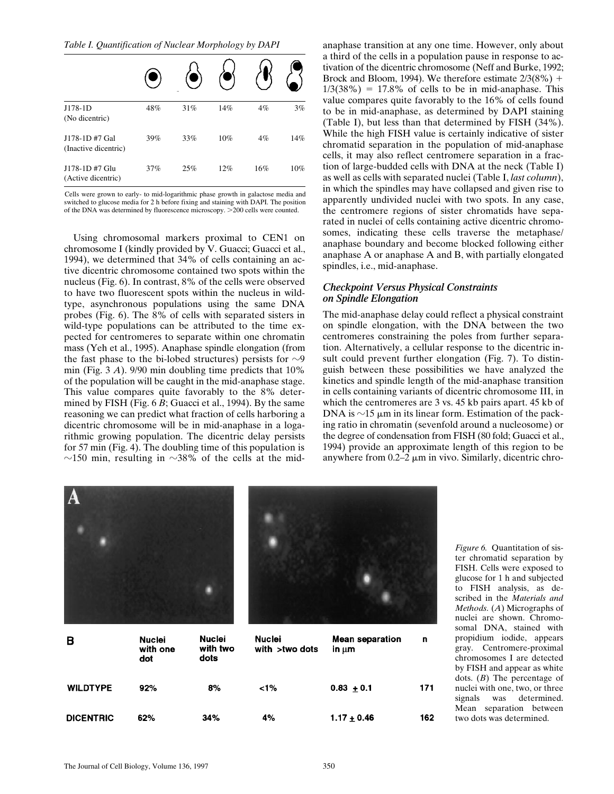*Table I. Quantification of Nuclear Morphology by DAPI*

| J178-1D<br>(No dicentric)             | 48% | 31% | 14% | 4%  | 3%  |
|---------------------------------------|-----|-----|-----|-----|-----|
| J178-1D#7 Gal<br>(Inactive dicentric) | 39% | 33% | 10% | 4%  | 14% |
| J178-1D#7 Glu<br>(Active dicentric)   | 37% | 25% | 12% | 16% | 10% |

Cells were grown to early- to mid-logarithmic phase growth in galactose media and switched to glucose media for 2 h before fixing and staining with DAPI. The position of the DNA was determined by fluorescence microscopy. >200 cells were counted.

Using chromosomal markers proximal to CEN1 on chromosome I (kindly provided by V. Guacci; Guacci et al., 1994), we determined that 34% of cells containing an active dicentric chromosome contained two spots within the nucleus (Fig. 6). In contrast, 8% of the cells were observed to have two fluorescent spots within the nucleus in wildtype, asynchronous populations using the same DNA probes (Fig. 6). The 8% of cells with separated sisters in wild-type populations can be attributed to the time expected for centromeres to separate within one chromatin mass (Yeh et al., 1995). Anaphase spindle elongation (from the fast phase to the bi-lobed structures) persists for  $\sim$ 9 min (Fig. 3 *A*). 9/90 min doubling time predicts that 10% of the population will be caught in the mid-anaphase stage. This value compares quite favorably to the 8% determined by FISH (Fig. 6 *B*; Guacci et al., 1994). By the same reasoning we can predict what fraction of cells harboring a dicentric chromosome will be in mid-anaphase in a logarithmic growing population. The dicentric delay persists for 57 min (Fig. 4). The doubling time of this population is  $\sim$ 150 min, resulting in  $\sim$ 38% of the cells at the midanaphase transition at any one time. However, only about a third of the cells in a population pause in response to activation of the dicentric chromosome (Neff and Burke, 1992; Brock and Bloom, 1994). We therefore estimate  $2/3(8\%) +$  $1/3(38%) = 17.8%$  of cells to be in mid-anaphase. This value compares quite favorably to the 16% of cells found to be in mid-anaphase, as determined by DAPI staining (Table I), but less than that determined by FISH (34%). While the high FISH value is certainly indicative of sister chromatid separation in the population of mid-anaphase cells, it may also reflect centromere separation in a fraction of large-budded cells with DNA at the neck (Table I) as well as cells with separated nuclei (Table I, *last column*), in which the spindles may have collapsed and given rise to apparently undivided nuclei with two spots. In any case, the centromere regions of sister chromatids have separated in nuclei of cells containing active dicentric chromosomes, indicating these cells traverse the metaphase/ anaphase boundary and become blocked following either anaphase A or anaphase A and B, with partially elongated spindles, i.e., mid-anaphase.

#### *Checkpoint Versus Physical Constraints on Spindle Elongation*

The mid-anaphase delay could reflect a physical constraint on spindle elongation, with the DNA between the two centromeres constraining the poles from further separation. Alternatively, a cellular response to the dicentric insult could prevent further elongation (Fig. 7). To distinguish between these possibilities we have analyzed the kinetics and spindle length of the mid-anaphase transition in cells containing variants of dicentric chromosome III, in which the centromeres are 3 vs. 45 kb pairs apart. 45 kb of DNA is  $\sim$ 15  $\mu$ m in its linear form. Estimation of the packing ratio in chromatin (sevenfold around a nucleosome) or the degree of condensation from FISH (80 fold; Guacci et al., 1994) provide an approximate length of this region to be anywhere from  $0.2-2 \mu m$  in vivo. Similarly, dicentric chro-



*Figure 6.* Quantitation of sister chromatid separation by FISH. Cells were exposed to glucose for 1 h and subjected to FISH analysis, as described in the *Materials and Methods.* (*A*) Micrographs of nuclei are shown. Chromosomal DNA, stained with propidium iodide, appears gray. Centromere-proximal chromosomes I are detected by FISH and appear as white dots. (*B*) The percentage of nuclei with one, two, or three signals was determined. Mean separation between two dots was determined.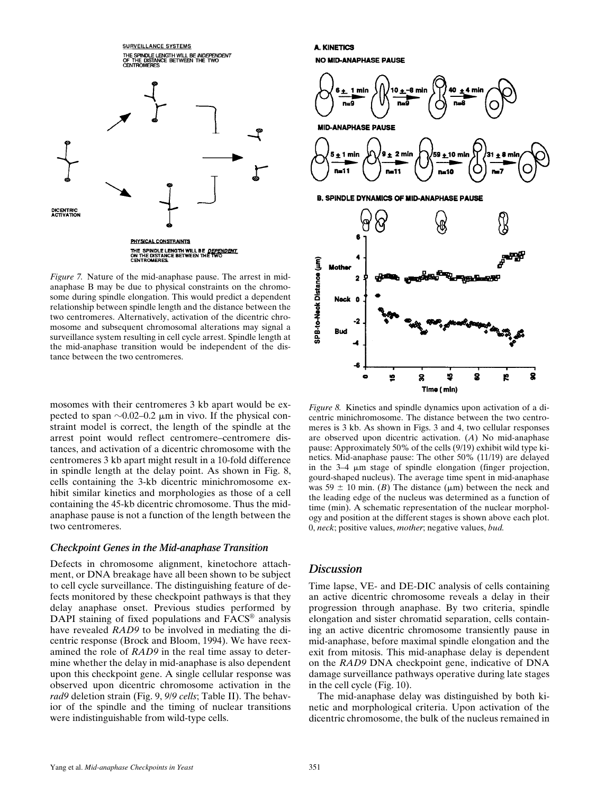

*Figure 7.* Nature of the mid-anaphase pause. The arrest in midanaphase B may be due to physical constraints on the chromosome during spindle elongation. This would predict a dependent relationship between spindle length and the distance between the two centromeres. Alternatively, activation of the dicentric chromosome and subsequent chromosomal alterations may signal a surveillance system resulting in cell cycle arrest. Spindle length at the mid-anaphase transition would be independent of the distance between the two centromeres.

mosomes with their centromeres 3 kb apart would be expected to span  $\sim$ 0.02–0.2  $\mu$ m in vivo. If the physical constraint model is correct, the length of the spindle at the arrest point would reflect centromere–centromere distances, and activation of a dicentric chromosome with the centromeres 3 kb apart might result in a 10-fold difference in spindle length at the delay point. As shown in Fig. 8, cells containing the 3-kb dicentric minichromosome exhibit similar kinetics and morphologies as those of a cell containing the 45-kb dicentric chromosome. Thus the midanaphase pause is not a function of the length between the two centromeres.

#### *Checkpoint Genes in the Mid-anaphase Transition*

Defects in chromosome alignment, kinetochore attachment, or DNA breakage have all been shown to be subject to cell cycle surveillance. The distinguishing feature of defects monitored by these checkpoint pathways is that they delay anaphase onset. Previous studies performed by DAPI staining of fixed populations and FACS<sup>®</sup> analysis have revealed *RAD9* to be involved in mediating the dicentric response (Brock and Bloom, 1994). We have reexamined the role of *RAD9* in the real time assay to determine whether the delay in mid-anaphase is also dependent upon this checkpoint gene. A single cellular response was observed upon dicentric chromosome activation in the *rad9* deletion strain (Fig. 9, *9*/*9 cells*; Table II). The behavior of the spindle and the timing of nuclear transitions were indistinguishable from wild-type cells.

**A. KINETICS NO MID-ANAPHASE PAUSE** 



*Figure 8.* Kinetics and spindle dynamics upon activation of a dicentric minichromosome. The distance between the two centromeres is 3 kb. As shown in Figs. 3 and 4, two cellular responses are observed upon dicentric activation. (*A*) No mid-anaphase pause: Approximately 50% of the cells (9/19) exhibit wild type kinetics. Mid-anaphase pause: The other 50% (11/19) are delayed in the  $3-4 \mu m$  stage of spindle elongation (finger projection, gourd-shaped nucleus). The average time spent in mid-anaphase was 59  $\pm$  10 min. (*B*) The distance ( $\mu$ m) between the neck and the leading edge of the nucleus was determined as a function of time (min). A schematic representation of the nuclear morphology and position at the different stages is shown above each plot. 0, *neck*; positive values, *mother*; negative values, *bud.*

## *Discussion*

Time lapse, VE- and DE-DIC analysis of cells containing an active dicentric chromosome reveals a delay in their progression through anaphase. By two criteria, spindle elongation and sister chromatid separation, cells containing an active dicentric chromosome transiently pause in mid-anaphase, before maximal spindle elongation and the exit from mitosis. This mid-anaphase delay is dependent on the *RAD9* DNA checkpoint gene, indicative of DNA damage surveillance pathways operative during late stages in the cell cycle (Fig. 10).

The mid-anaphase delay was distinguished by both kinetic and morphological criteria. Upon activation of the dicentric chromosome, the bulk of the nucleus remained in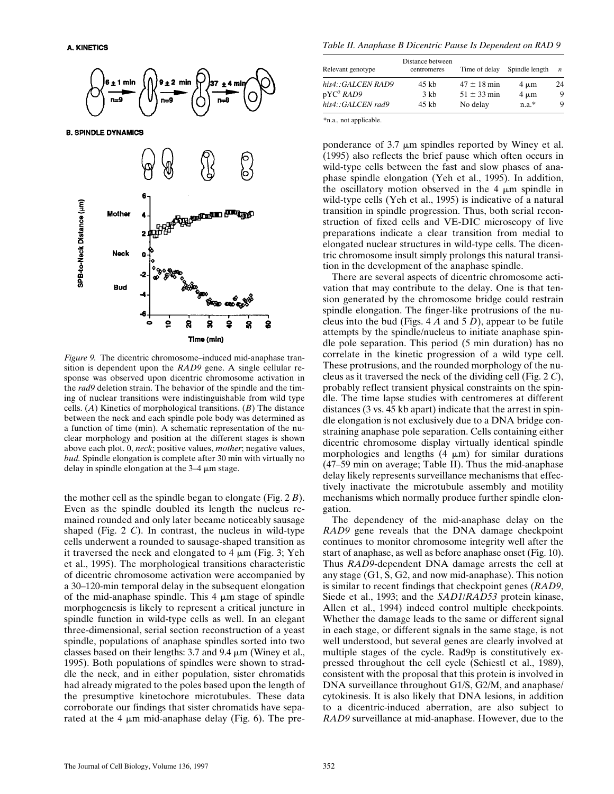

**B. SPINDLE DYNAMICS** 



*Figure 9.* The dicentric chromosome–induced mid-anaphase transition is dependent upon the *RAD9* gene. A single cellular response was observed upon dicentric chromosome activation in the *rad9* deletion strain. The behavior of the spindle and the timing of nuclear transitions were indistinguishable from wild type cells. (*A*) Kinetics of morphological transitions. (*B*) The distance between the neck and each spindle pole body was determined as a function of time (min). A schematic representation of the nuclear morphology and position at the different stages is shown above each plot. 0, *neck*; positive values, *mother*; negative values, *bud.* Spindle elongation is complete after 30 min with virtually no delay in spindle elongation at the  $3-4 \mu m$  stage.

the mother cell as the spindle began to elongate (Fig. 2 *B*). Even as the spindle doubled its length the nucleus remained rounded and only later became noticeably sausage shaped (Fig. 2 *C*). In contrast, the nucleus in wild-type cells underwent a rounded to sausage-shaped transition as it traversed the neck and elongated to  $4 \mu m$  (Fig. 3; Yeh et al., 1995). The morphological transitions characteristic of dicentric chromosome activation were accompanied by a 30–120-min temporal delay in the subsequent elongation of the mid-anaphase spindle. This  $4 \mu m$  stage of spindle morphogenesis is likely to represent a critical juncture in spindle function in wild-type cells as well. In an elegant three-dimensional, serial section reconstruction of a yeast spindle, populations of anaphase spindles sorted into two classes based on their lengths:  $3.7$  and  $9.4 \mu m$  (Winey et al., 1995). Both populations of spindles were shown to straddle the neck, and in either population, sister chromatids had already migrated to the poles based upon the length of the presumptive kinetochore microtubules. These data corroborate our findings that sister chromatids have separated at the 4  $\mu$ m mid-anaphase delay (Fig. 6). The pre-

*Table II. Anaphase B Dicentric Pause Is Dependent on RAD 9*

| Relevant genotype     | Distance between<br>centromeres | Time of delay   | Spindle length | $\boldsymbol{n}$ |
|-----------------------|---------------------------------|-----------------|----------------|------------------|
| his4::GALCEN RAD9     | $45$ kb                         | $47 \pm 18$ min | $4 \mu m$      | 24               |
| pYC <sup>2</sup> RAD9 | $3 \,$ kb                       | $51 \pm 33$ min | $4 \mu m$      | 9                |
| his4::GALCEN rad9     | $45$ kb                         | No delay        | $n.a.*$        | 9                |

\*n.a., not applicable.

ponderance of  $3.7 \mu m$  spindles reported by Winey et al. (1995) also reflects the brief pause which often occurs in wild-type cells between the fast and slow phases of anaphase spindle elongation (Yeh et al., 1995). In addition, the oscillatory motion observed in the 4  $\mu$ m spindle in wild-type cells (Yeh et al., 1995) is indicative of a natural transition in spindle progression. Thus, both serial reconstruction of fixed cells and VE-DIC microscopy of live preparations indicate a clear transition from medial to elongated nuclear structures in wild-type cells. The dicentric chromosome insult simply prolongs this natural transition in the development of the anaphase spindle.

There are several aspects of dicentric chromosome activation that may contribute to the delay. One is that tension generated by the chromosome bridge could restrain spindle elongation. The finger-like protrusions of the nucleus into the bud (Figs. 4 *A* and 5 *D*), appear to be futile attempts by the spindle/nucleus to initiate anaphase spindle pole separation. This period (5 min duration) has no correlate in the kinetic progression of a wild type cell. These protrusions, and the rounded morphology of the nucleus as it traversed the neck of the dividing cell (Fig. 2 *C*), probably reflect transient physical constraints on the spindle. The time lapse studies with centromeres at different distances (3 vs. 45 kb apart) indicate that the arrest in spindle elongation is not exclusively due to a DNA bridge constraining anaphase pole separation. Cells containing either dicentric chromosome display virtually identical spindle morphologies and lengths  $(4 \mu m)$  for similar durations (47–59 min on average; Table II). Thus the mid-anaphase delay likely represents surveillance mechanisms that effectively inactivate the microtubule assembly and motility mechanisms which normally produce further spindle elongation.

The dependency of the mid-anaphase delay on the *RAD9* gene reveals that the DNA damage checkpoint continues to monitor chromosome integrity well after the start of anaphase, as well as before anaphase onset (Fig. 10). Thus *RAD9*-dependent DNA damage arrests the cell at any stage (G1, S, G2, and now mid-anaphase). This notion is similar to recent findings that checkpoint genes (*RAD9*, Siede et al., 1993; and the *SAD1*/*RAD53* protein kinase, Allen et al., 1994) indeed control multiple checkpoints. Whether the damage leads to the same or different signal in each stage, or different signals in the same stage, is not well understood, but several genes are clearly involved at multiple stages of the cycle. Rad9p is constitutively expressed throughout the cell cycle (Schiestl et al., 1989), consistent with the proposal that this protein is involved in DNA surveillance throughout G1/S, G2/M, and anaphase/ cytokinesis. It is also likely that DNA lesions, in addition to a dicentric-induced aberration, are also subject to *RAD9* surveillance at mid-anaphase. However, due to the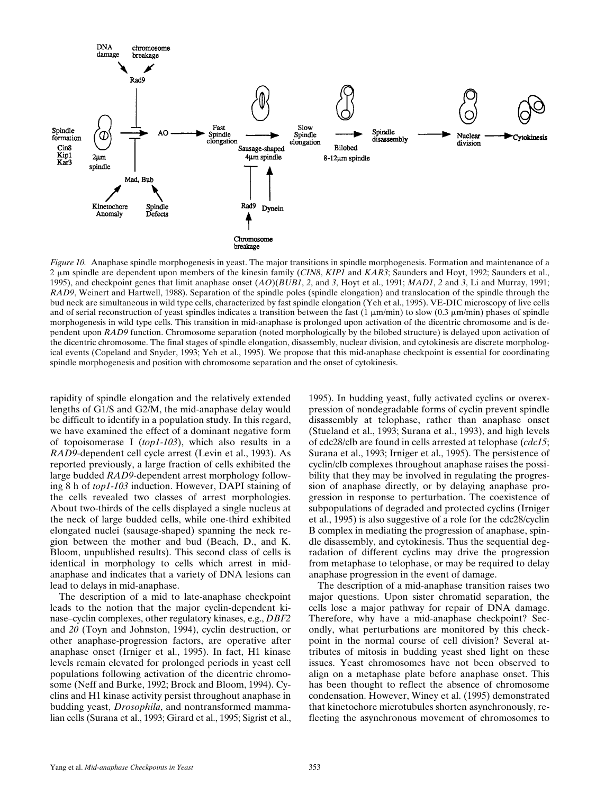

*Figure 10.* Anaphase spindle morphogenesis in yeast. The major transitions in spindle morphogenesis. Formation and maintenance of a 2 mm spindle are dependent upon members of the kinesin family (*CIN8*, *KIP1* and *KAR3*; Saunders and Hoyt, 1992; Saunders et al., 1995), and checkpoint genes that limit anaphase onset (*AO*)(*BUB1*, *2*, and *3*, Hoyt et al., 1991; *MAD1*, *2* and *3*, Li and Murray, 1991; *RAD9*, Weinert and Hartwell, 1988). Separation of the spindle poles (spindle elongation) and translocation of the spindle through the bud neck are simultaneous in wild type cells, characterized by fast spindle elongation (Yeh et al., 1995). VE-DIC microscopy of live cells and of serial reconstruction of yeast spindles indicates a transition between the fast  $(1 \mu m/min)$  to slow  $(0.3 \mu m/min)$  phases of spindle morphogenesis in wild type cells. This transition in mid-anaphase is prolonged upon activation of the dicentric chromosome and is dependent upon *RAD9* function. Chromosome separation (noted morphologically by the bilobed structure) is delayed upon activation of the dicentric chromosome. The final stages of spindle elongation, disassembly, nuclear division, and cytokinesis are discrete morphological events (Copeland and Snyder, 1993; Yeh et al., 1995). We propose that this mid-anaphase checkpoint is essential for coordinating spindle morphogenesis and position with chromosome separation and the onset of cytokinesis.

rapidity of spindle elongation and the relatively extended lengths of G1/S and G2/M, the mid-anaphase delay would be difficult to identify in a population study. In this regard, we have examined the effect of a dominant negative form of topoisomerase I (*top1-103*), which also results in a *RAD9*-dependent cell cycle arrest (Levin et al., 1993). As reported previously, a large fraction of cells exhibited the large budded *RAD9*-dependent arrest morphology following 8 h of *top1-103* induction. However, DAPI staining of the cells revealed two classes of arrest morphologies. About two-thirds of the cells displayed a single nucleus at the neck of large budded cells, while one-third exhibited elongated nuclei (sausage-shaped) spanning the neck region between the mother and bud (Beach, D., and K. Bloom, unpublished results). This second class of cells is identical in morphology to cells which arrest in midanaphase and indicates that a variety of DNA lesions can lead to delays in mid-anaphase.

The description of a mid to late-anaphase checkpoint leads to the notion that the major cyclin-dependent kinase–cyclin complexes, other regulatory kinases, e.g., *DBF2* and *20* (Toyn and Johnston, 1994), cyclin destruction, or other anaphase-progression factors, are operative after anaphase onset (Irniger et al., 1995). In fact, H1 kinase levels remain elevated for prolonged periods in yeast cell populations following activation of the dicentric chromosome (Neff and Burke, 1992; Brock and Bloom, 1994). Cyclins and H1 kinase activity persist throughout anaphase in budding yeast, *Drosophila*, and nontransformed mammalian cells (Surana et al., 1993; Girard et al., 1995; Sigrist et al.,

1995). In budding yeast, fully activated cyclins or overexpression of nondegradable forms of cyclin prevent spindle disassembly at telophase, rather than anaphase onset (Stueland et al., 1993; Surana et al., 1993), and high levels of cdc28/clb are found in cells arrested at telophase (*cdc15*; Surana et al., 1993; Irniger et al., 1995). The persistence of cyclin/clb complexes throughout anaphase raises the possibility that they may be involved in regulating the progression of anaphase directly, or by delaying anaphase progression in response to perturbation. The coexistence of subpopulations of degraded and protected cyclins (Irniger et al., 1995) is also suggestive of a role for the cdc28/cyclin B complex in mediating the progression of anaphase, spindle disassembly, and cytokinesis. Thus the sequential degradation of different cyclins may drive the progression from metaphase to telophase, or may be required to delay anaphase progression in the event of damage.

The description of a mid-anaphase transition raises two major questions. Upon sister chromatid separation, the cells lose a major pathway for repair of DNA damage. Therefore, why have a mid-anaphase checkpoint? Secondly, what perturbations are monitored by this checkpoint in the normal course of cell division? Several attributes of mitosis in budding yeast shed light on these issues. Yeast chromosomes have not been observed to align on a metaphase plate before anaphase onset. This has been thought to reflect the absence of chromosome condensation. However, Winey et al. (1995) demonstrated that kinetochore microtubules shorten asynchronously, reflecting the asynchronous movement of chromosomes to